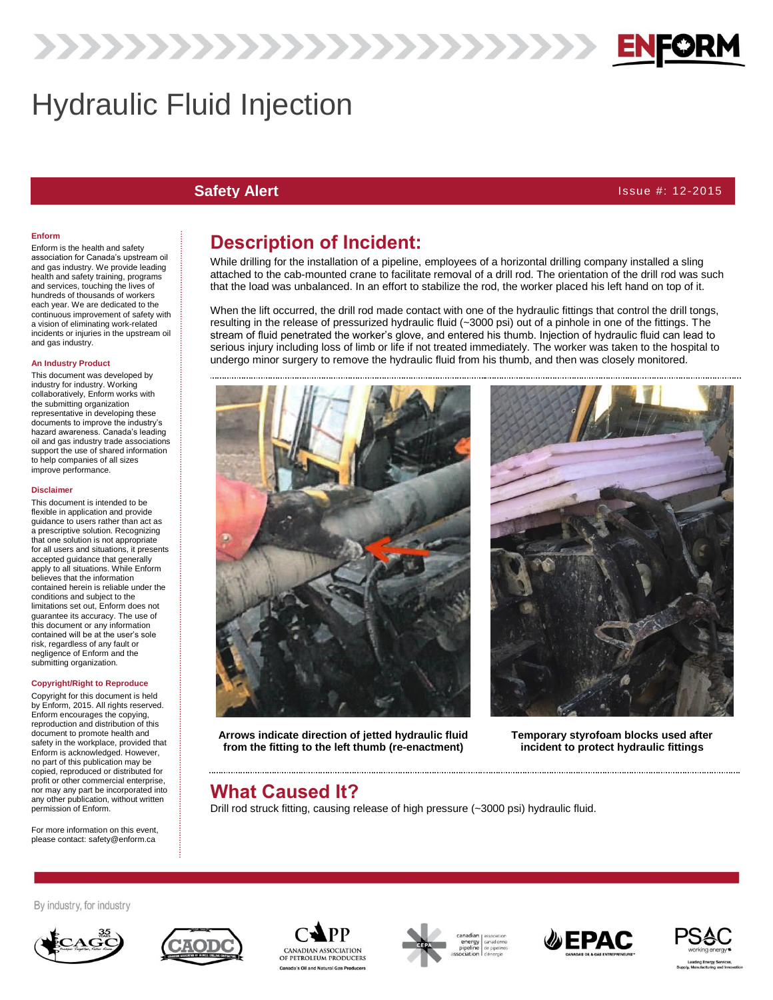# Hydraulic Fluid Injection

**Safety Alert** Issue #: 12-2015

### **Enform**

Enform is the health and safety association for Canada's upstream oil and gas industry. We provide leading health and safety training, programs and services, touching the lives of hundreds of thousands of workers each year. We are dedicated to the continuous improvement of safety with a vision of eliminating work-related incidents or injuries in the upstream oil and gas industry.

#### **An Industry Product**

This document was developed by industry for industry. Working collaboratively, Enform works with the submitting organization representative in developing these documents to improve the industry's hazard awareness. Canada's leading oil and gas industry trade associations support the use of shared information to help companies of all sizes improve performance.

#### **Disclaimer**

This document is intended to be flexible in application and provide guidance to users rather than act as a prescriptive solution. Recognizing that one solution is not appropriate for all users and situations, it presents accepted guidance that generally apply to all situations. While Enform believes that the information contained herein is reliable under the conditions and subject to the limitations set out, Enform does not guarantee its accuracy. The use of this document or any information contained will be at the user's sole risk, regardless of any fault or negligence of Enform and the submitting organization.

#### **Copyright/Right to Reproduce**

Copyright for this document is held by Enform, 2015. All rights reserved. Enform encourages the copying, reproduction and distribution of this document to promote health and safety in the workplace, provided that Enform is acknowledged. However, no part of this publication may be copied, reproduced or distributed for profit or other commercial enterprise, nor may any part be incorporated into any other publication, without written permission of Enform.

For more information on this event, please contact: safety@enform.ca

### **Description of Incident:**

222222222222222222222222222

While drilling for the installation of a pipeline, employees of a horizontal drilling company installed a sling attached to the cab-mounted crane to facilitate removal of a drill rod. The orientation of the drill rod was such that the load was unbalanced. In an effort to stabilize the rod, the worker placed his left hand on top of it.

When the lift occurred, the drill rod made contact with one of the hydraulic fittings that control the drill tongs, resulting in the release of pressurized hydraulic fluid (~3000 psi) out of a pinhole in one of the fittings. The stream of fluid penetrated the worker's glove, and entered his thumb. Injection of hydraulic fluid can lead to serious injury including loss of limb or life if not treated immediately. The worker was taken to the hospital to undergo minor surgery to remove the hydraulic fluid from his thumb, and then was closely monitored.



**Arrows indicate direction of jetted hydraulic fluid from the fitting to the left thumb (re-enactment)**



**Temporary styrofoam blocks used after incident to protect hydraulic fittings**

### **What Caused It?**

Drill rod struck fitting, causing release of high pressure (~3000 psi) hydraulic fluid.



By industry, for industry